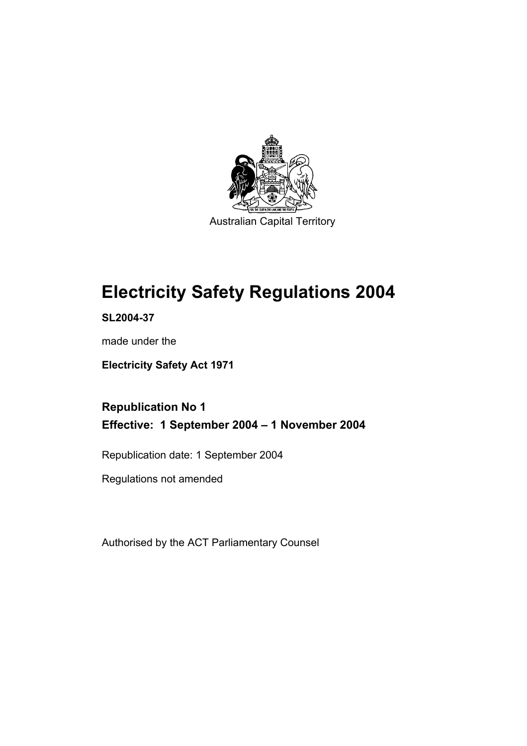

Australian Capital Territory

# **Electricity Safety Regulations 2004**

**SL2004-37** 

made under the

**Electricity Safety Act 1971** 

**Republication No 1 Effective: 1 September 2004 – 1 November 2004** 

Republication date: 1 September 2004

Regulations not amended

Authorised by the ACT Parliamentary Counsel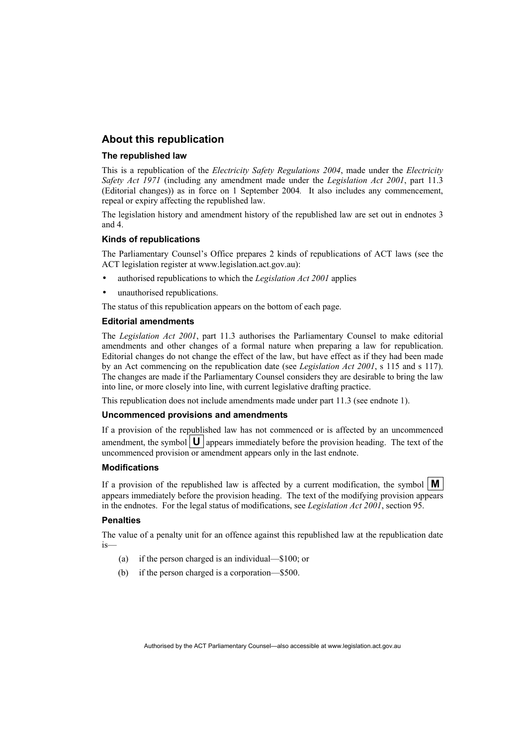#### **About this republication**

#### **The republished law**

This is a republication of the *Electricity Safety Regulations 2004*, made under the *Electricity Safety Act 1971* (including any amendment made under the *Legislation Act 2001*, part 11.3 (Editorial changes)) as in force on 1 September 2004*.* It also includes any commencement, repeal or expiry affecting the republished law.

The legislation history and amendment history of the republished law are set out in endnotes 3 and 4.

#### **Kinds of republications**

The Parliamentary Counsel's Office prepares 2 kinds of republications of ACT laws (see the ACT legislation register at www.legislation.act.gov.au):

- authorised republications to which the *Legislation Act 2001* applies
- unauthorised republications.

The status of this republication appears on the bottom of each page.

#### **Editorial amendments**

The *Legislation Act 2001*, part 11.3 authorises the Parliamentary Counsel to make editorial amendments and other changes of a formal nature when preparing a law for republication. Editorial changes do not change the effect of the law, but have effect as if they had been made by an Act commencing on the republication date (see *Legislation Act 2001*, s 115 and s 117). The changes are made if the Parliamentary Counsel considers they are desirable to bring the law into line, or more closely into line, with current legislative drafting practice.

This republication does not include amendments made under part 11.3 (see endnote 1).

#### **Uncommenced provisions and amendments**

If a provision of the republished law has not commenced or is affected by an uncommenced amendment, the symbol  $\mathbf{U}$  appears immediately before the provision heading. The text of the uncommenced provision or amendment appears only in the last endnote.

#### **Modifications**

If a provision of the republished law is affected by a current modification, the symbol  $\mathbf{M}$ appears immediately before the provision heading. The text of the modifying provision appears in the endnotes. For the legal status of modifications, see *Legislation Act 2001*, section 95.

#### **Penalties**

The value of a penalty unit for an offence against this republished law at the republication date is—

- (a) if the person charged is an individual—\$100; or
- (b) if the person charged is a corporation—\$500.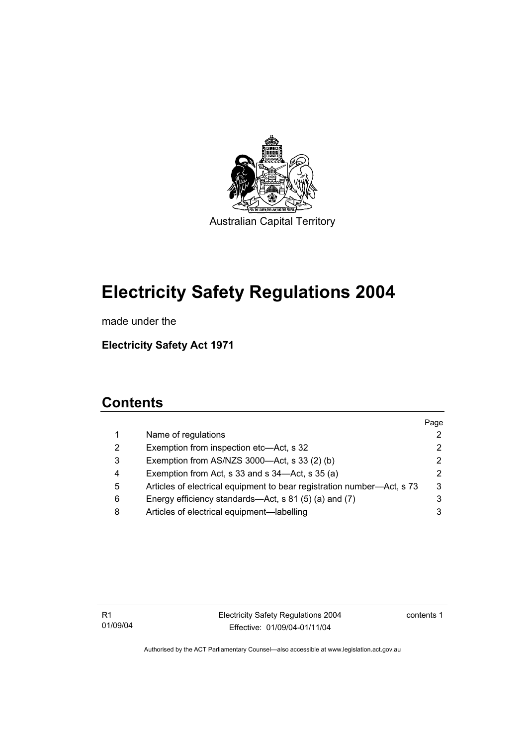

Australian Capital Territory

## **Electricity Safety Regulations 2004**

made under the

**Electricity Safety Act 1971** 

## **Contents**

|   |                                                                        | Page |
|---|------------------------------------------------------------------------|------|
| 1 | Name of regulations                                                    |      |
| 2 | Exemption from inspection etc—Act, s 32                                | 2    |
| 3 | Exemption from AS/NZS 3000-Act, s 33 (2) (b)                           | 2    |
| 4 | Exemption from Act, s 33 and s 34-Act, s 35 (a)                        | 2    |
| 5 | Articles of electrical equipment to bear registration number—Act, s 73 | 3    |
| 6 | Energy efficiency standards—Act, s 81 (5) (a) and (7)                  |      |
| 8 | Articles of electrical equipment—labelling                             |      |
|   |                                                                        |      |

contents 1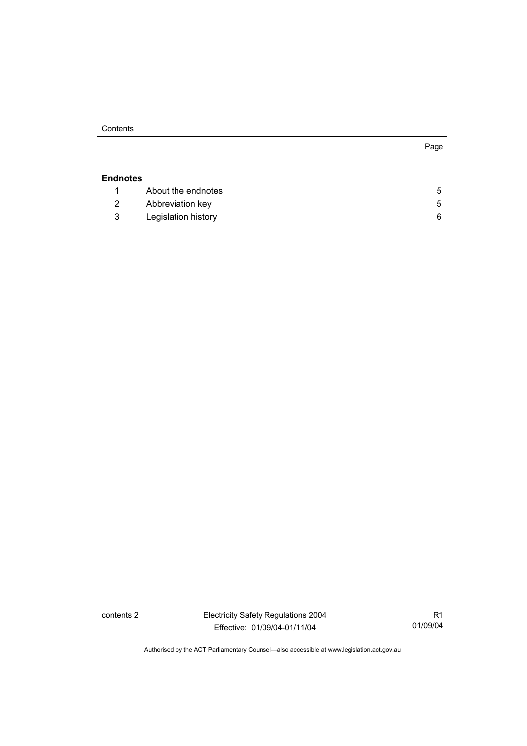**Contents** 

## **Endnotes** 1 About the endnotes 5 2 Abbreviation key 5 3 Legislation history 6

contents 2 Electricity Safety Regulations 2004 Effective: 01/09/04-01/11/04

R1 01/09/04

Page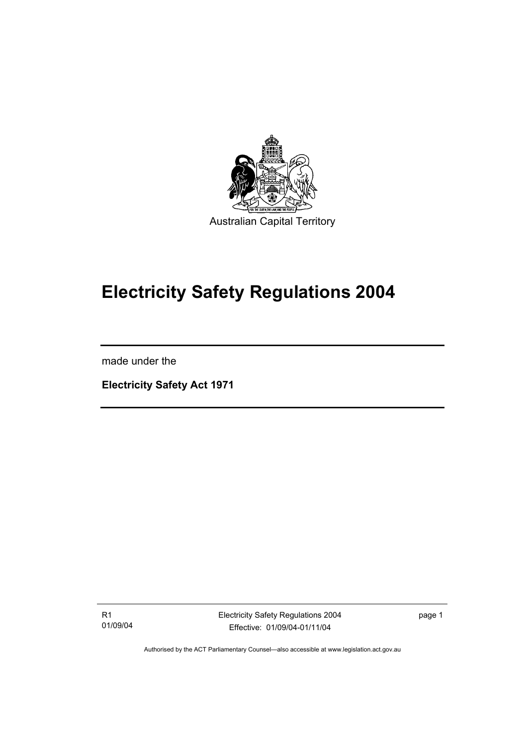

## **Electricity Safety Regulations 2004**

made under the

I

**Electricity Safety Act 1971** 

R1 01/09/04 Electricity Safety Regulations 2004 Effective: 01/09/04-01/11/04

page 1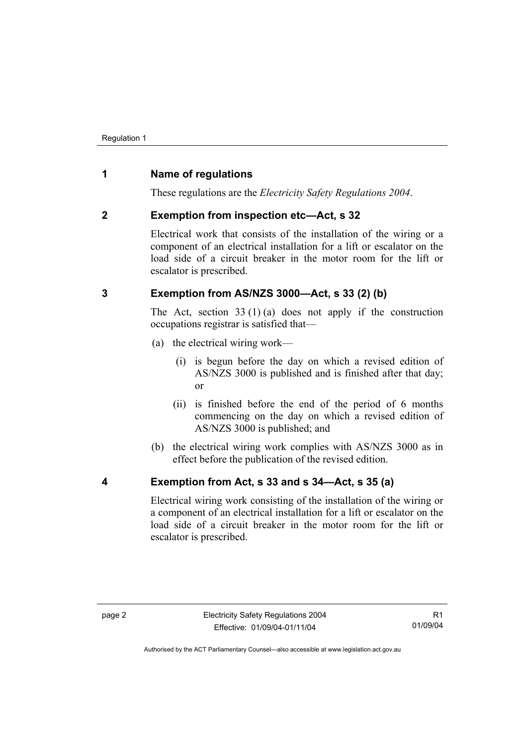### **1 Name of regulations**

These regulations are the *Electricity Safety Regulations 2004*.

### **2 Exemption from inspection etc—Act, s 32**

Electrical work that consists of the installation of the wiring or a component of an electrical installation for a lift or escalator on the load side of a circuit breaker in the motor room for the lift or escalator is prescribed.

## **3 Exemption from AS/NZS 3000—Act, s 33 (2) (b)**

The Act, section  $33(1)(a)$  does not apply if the construction occupations registrar is satisfied that—

- (a) the electrical wiring work—
	- (i) is begun before the day on which a revised edition of AS/NZS 3000 is published and is finished after that day; or
	- (ii) is finished before the end of the period of 6 months commencing on the day on which a revised edition of AS/NZS 3000 is published; and
- (b) the electrical wiring work complies with AS/NZS 3000 as in effect before the publication of the revised edition.

## **4 Exemption from Act, s 33 and s 34—Act, s 35 (a)**

Electrical wiring work consisting of the installation of the wiring or a component of an electrical installation for a lift or escalator on the load side of a circuit breaker in the motor room for the lift or escalator is prescribed.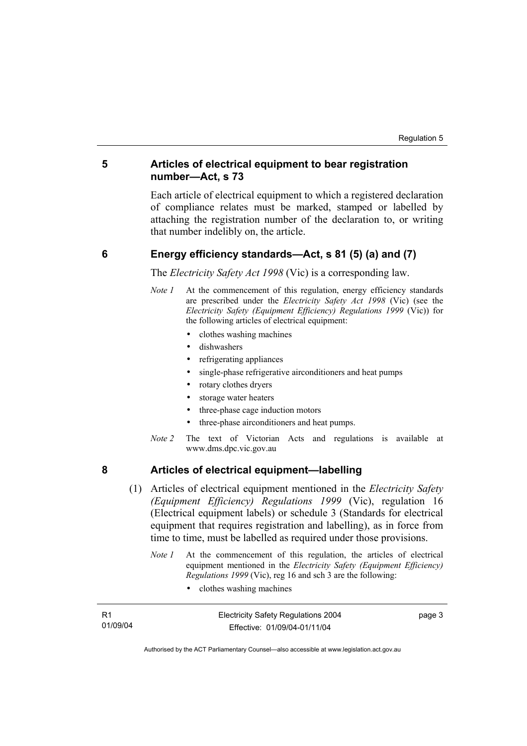### **5 Articles of electrical equipment to bear registration number—Act, s 73**

Each article of electrical equipment to which a registered declaration of compliance relates must be marked, stamped or labelled by attaching the registration number of the declaration to, or writing that number indelibly on, the article.

#### **6 Energy efficiency standards—Act, s 81 (5) (a) and (7)**

The *Electricity Safety Act 1998* (Vic) is a corresponding law.

- *Note 1* At the commencement of this regulation, energy efficiency standards are prescribed under the *Electricity Safety Act 1998* (Vic) (see the *Electricity Safety (Equipment Efficiency) Regulations 1999* (Vic)) for the following articles of electrical equipment:
	- clothes washing machines
	- dishwashers
	- refrigerating appliances
	- single-phase refrigerative airconditioners and heat pumps
	- rotary clothes dryers
	- storage water heaters
	- three-phase cage induction motors
	- three-phase airconditioners and heat pumps.
- *Note 2* The text of Victorian Acts and regulations is available at www.dms.dpc.vic.gov.au

### **8 Articles of electrical equipment—labelling**

- (1) Articles of electrical equipment mentioned in the *Electricity Safety (Equipment Efficiency) Regulations 1999* (Vic), regulation 16 (Electrical equipment labels) or schedule 3 (Standards for electrical equipment that requires registration and labelling), as in force from time to time, must be labelled as required under those provisions.
	- *Note 1* At the commencement of this regulation, the articles of electrical equipment mentioned in the *Electricity Safety (Equipment Efficiency) Regulations 1999* (Vic), reg 16 and sch 3 are the following:
		- clothes washing machines

| - R1     | <b>Electricity Safety Regulations 2004</b> | page 3 |
|----------|--------------------------------------------|--------|
| 01/09/04 | Effective: 01/09/04-01/11/04               |        |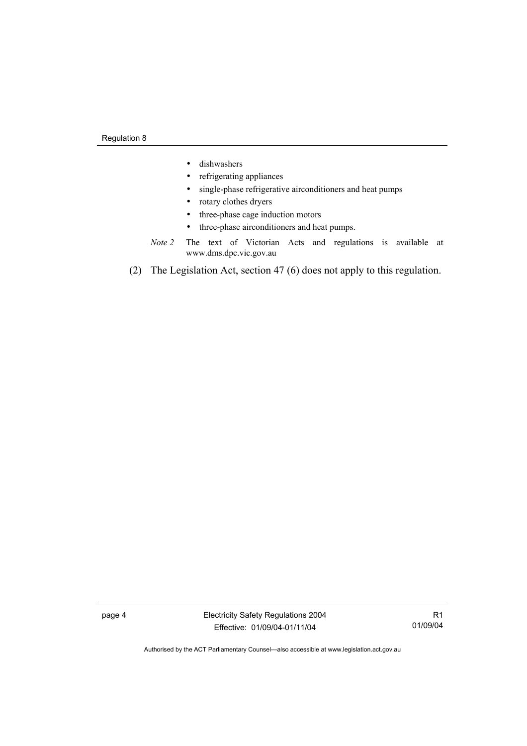- dishwashers
- refrigerating appliances
- single-phase refrigerative airconditioners and heat pumps
- rotary clothes dryers
- three-phase cage induction motors
- three-phase airconditioners and heat pumps.
- *Note 2* The text of Victorian Acts and regulations is available at www.dms.dpc.vic.gov.au
- (2) The Legislation Act, section 47 (6) does not apply to this regulation.

page 4 Electricity Safety Regulations 2004 Effective: 01/09/04-01/11/04

R1 01/09/04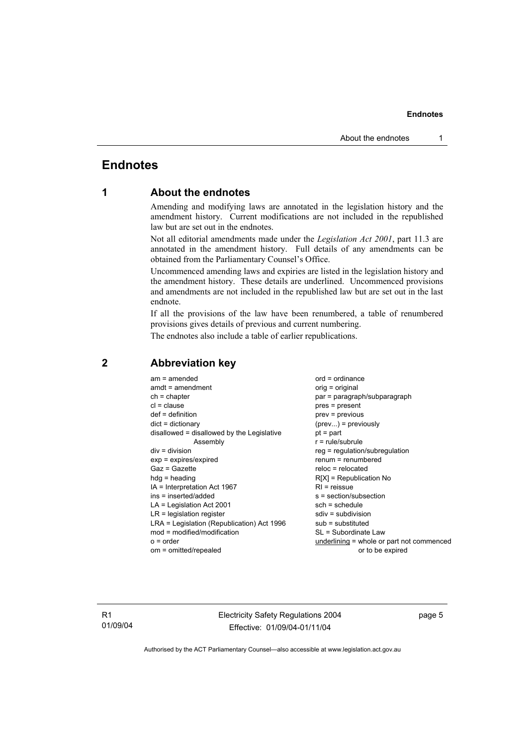#### **Endnotes**

## **Endnotes**

## **1 About the endnotes**

Amending and modifying laws are annotated in the legislation history and the amendment history. Current modifications are not included in the republished law but are set out in the endnotes.

Not all editorial amendments made under the *Legislation Act 2001*, part 11.3 are annotated in the amendment history. Full details of any amendments can be obtained from the Parliamentary Counsel's Office.

Uncommenced amending laws and expiries are listed in the legislation history and the amendment history. These details are underlined. Uncommenced provisions and amendments are not included in the republished law but are set out in the last endnote.

If all the provisions of the law have been renumbered, a table of renumbered provisions gives details of previous and current numbering.

The endnotes also include a table of earlier republications.

| $am = amended$                             | $ord = ordinance$                         |
|--------------------------------------------|-------------------------------------------|
| $amdt = amendment$                         | $orig = original$                         |
| $ch = chapter$                             | par = paragraph/subparagraph              |
| $cl = clause$                              | $pres = present$                          |
| $def = definition$                         | $prev = previous$                         |
| $dict = dictionary$                        | $(\text{prev})$ = previously              |
| disallowed = disallowed by the Legislative | $pt = part$                               |
| Assembly                                   | $r = rule/subrule$                        |
| $div = division$                           | reg = regulation/subregulation            |
| $exp = expires/expired$                    | $renum = renumbered$                      |
| $Gaz = Gazette$                            | $reloc = relocated$                       |
| $h dq =$ heading                           | $R[X]$ = Republication No                 |
| $IA = Interpretation Act 1967$             | $RI =$ reissue                            |
| $ins = inserted/added$                     | $s = section/subsection$                  |
| $LA =$ Legislation Act 2001                | $sch = schedule$                          |
| $LR =$ legislation register                | sdiv = subdivision                        |
| LRA = Legislation (Republication) Act 1996 | $sub =$ substituted                       |
| $mod = modified/modification$              | SL = Subordinate Law                      |
|                                            |                                           |
| $o = order$                                | underlining = whole or part not commenced |
| om = omitted/repealed                      | or to be expired                          |
|                                            |                                           |

### **2 Abbreviation key**

R1 01/09/04 Electricity Safety Regulations 2004 Effective: 01/09/04-01/11/04

page 5